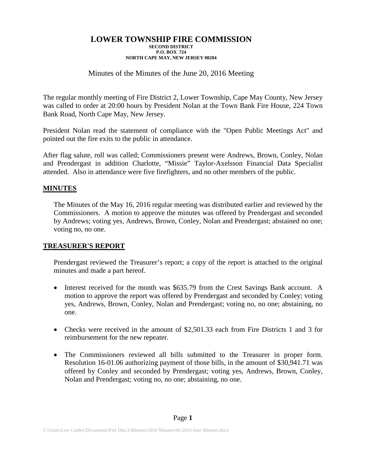## Minutes of the Minutes of the June 20, 2016 Meeting

The regular monthly meeting of Fire District 2, Lower Township, Cape May County, New Jersey was called to order at 20:00 hours by President Nolan at the Town Bank Fire House, 224 Town Bank Road, North Cape May, New Jersey.

President Nolan read the statement of compliance with the "Open Public Meetings Act" and pointed out the fire exits to the public in attendance.

After flag salute, roll was called; Commissioners present were Andrews, Brown, Conley, Nolan and Prendergast in addition Charlotte, "Missie" Taylor-Axelsson Financial Data Specialist attended. Also in attendance were five firefighters, and no other members of the public.

### **MINUTES**

The Minutes of the May 16, 2016 regular meeting was distributed earlier and reviewed by the Commissioners. A motion to approve the minutes was offered by Prendergast and seconded by Andrews; voting yes, Andrews, Brown, Conley, Nolan and Prendergast; abstained no one; voting no, no one.

### **TREASURER'S REPORT**

Prendergast reviewed the Treasurer's report; a copy of the report is attached to the original minutes and made a part hereof.

- Interest received for the month was \$635.79 from the Crest Savings Bank account. A motion to approve the report was offered by Prendergast and seconded by Conley; voting yes, Andrews, Brown, Conley, Nolan and Prendergast; voting no, no one; abstaining, no one.
- Checks were received in the amount of \$2,501.33 each from Fire Districts 1 and 3 for reimbursement for the new repeater.
- The Commissioners reviewed all bills submitted to the Treasurer in proper form. Resolution 16-01.06 authorizing payment of those bills, in the amount of \$30,941.71 was offered by Conley and seconded by Prendergast; voting yes, Andrews, Brown, Conley, Nolan and Prendergast; voting no, no one; abstaining, no one.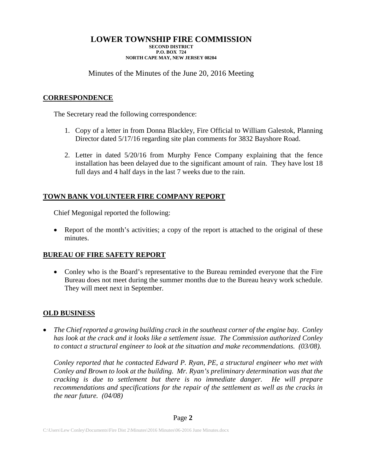Minutes of the Minutes of the June 20, 2016 Meeting

## **CORRESPONDENCE**

The Secretary read the following correspondence:

- 1. Copy of a letter in from Donna Blackley, Fire Official to William Galestok, Planning Director dated 5/17/16 regarding site plan comments for 3832 Bayshore Road.
- 2. Letter in dated 5/20/16 from Murphy Fence Company explaining that the fence installation has been delayed due to the significant amount of rain. They have lost 18 full days and 4 half days in the last 7 weeks due to the rain.

## **TOWN BANK VOLUNTEER FIRE COMPANY REPORT**

Chief Megonigal reported the following:

• Report of the month's activities; a copy of the report is attached to the original of these minutes.

## **BUREAU OF FIRE SAFETY REPORT**

• Conley who is the Board's representative to the Bureau reminded everyone that the Fire Bureau does not meet during the summer months due to the Bureau heavy work schedule. They will meet next in September.

## **OLD BUSINESS**

• *The Chief reported a growing building crack in the southeast corner of the engine bay. Conley has look at the crack and it looks like a settlement issue. The Commission authorized Conley to contact a structural engineer to look at the situation and make recommendations. (03/08).*

*Conley reported that he contacted Edward P. Ryan, PE, a structural engineer who met with Conley and Brown to look at the building. Mr. Ryan's preliminary determination was that the cracking is due to settlement but there is no immediate danger. He will prepare recommendations and specifications for the repair of the settlement as well as the cracks in the near future. (04/08)*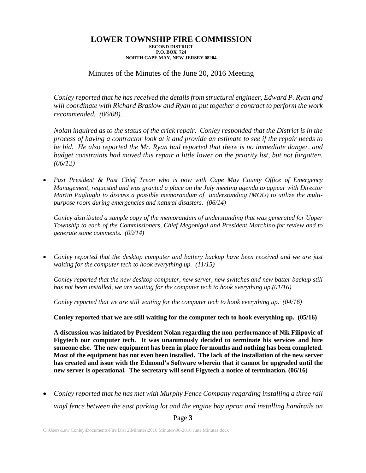Minutes of the Minutes of the June 20, 2016 Meeting

*Conley reported that he has received the details from structural engineer, Edward P. Ryan and will coordinate with Richard Braslow and Ryan to put together a contract to perform the work recommended. (06/08).*

*Nolan inquired as to the status of the crick repair. Conley responded that the District is in the process of having a contractor look at it and provide an estimate to see if the repair needs to be bid. He also reported the Mr. Ryan had reported that there is no immediate danger, and budget constraints had moved this repair a little lower on the priority list, but not forgotten. (06/12)*

• *Past President & Past Chief Treon who is now with Cape May County Office of Emergency Management, requested and was granted a place on the July meeting agenda to appear with Director Martin Pagliughi to discuss a possible memorandum of understanding (MOU) to utilize the multipurpose room during emergencies and natural disasters. (06/14)*

*Conley distributed a sample copy of the memorandum of understanding that was generated for Upper Township to each of the Commissioners, Chief Megonigal and President Marchino for review and to generate some comments. (09/14)*

• *Conley reported that the desktop computer and battery backup have been received and we are just waiting for the computer tech to hook everything up. (11/15)*

*Conley reported that the new desktop computer, new server, new switches and new batter backup still has not been installed, we are waiting for the computer tech to hook everything up.(01/16)*

*Conley reported that we are still waiting for the computer tech to hook everything up. (04/16)*

**Conley reported that we are still waiting for the computer tech to hook everything up. (05/16)**

**A discussion was initiated by President Nolan regarding the non-performance of Nik Filipovic of Figytech our computer tech. It was unanimously decided to terminate his services and hire someone else. The new equipment has been in place for months and nothing has been completed. Most of the equipment has not even been installed. The lack of the installation of the new server has created and issue with the Edmond's Software wherein that it cannot be upgraded until the new server is operational. The secretary will send Figytech a notice of termination. (06/16)**

• *Conley reported that he has met with Murphy Fence Company regarding installing a three rail vinyl fence between the east parking lot and the engine bay apron and installing handrails on* 

Page **3**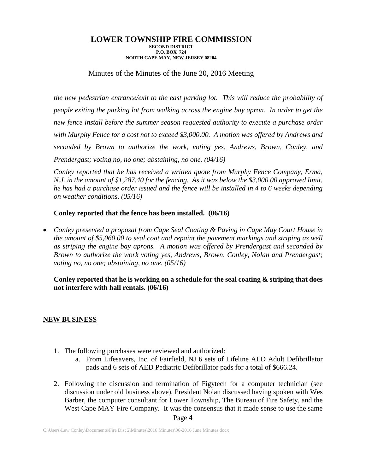Minutes of the Minutes of the June 20, 2016 Meeting

*the new pedestrian entrance/exit to the east parking lot. This will reduce the probability of people exiting the parking lot from walking across the engine bay apron. In order to get the new fence install before the summer season requested authority to execute a purchase order with Murphy Fence for a cost not to exceed \$3,000.00. A motion was offered by Andrews and seconded by Brown to authorize the work, voting yes, Andrews, Brown, Conley, and Prendergast; voting no, no one; abstaining, no one. (04/16)*

*Conley reported that he has received a written quote from Murphy Fence Company, Erma, N.J. in the amount of \$1,287.40 for the fencing. As it was below the \$3,000.00 approved limit, he has had a purchase order issued and the fence will be installed in 4 to 6 weeks depending on weather conditions. (05/16)*

## **Conley reported that the fence has been installed. (06/16)**

• *Conley presented a proposal from Cape Seal Coating & Paving in Cape May Court House in the amount of \$5,060.00 to seal coat and repaint the pavement markings and striping as well as striping the engine bay aprons. A motion was offered by Prendergast and seconded by Brown to authorize the work voting yes, Andrews, Brown, Conley, Nolan and Prendergast; voting no, no one; abstaining, no one. (05/16)*

**Conley reported that he is working on a schedule for the seal coating & striping that does not interfere with hall rentals. (06/16)**

### **NEW BUSINESS**

- 1. The following purchases were reviewed and authorized:
	- a. From Lifesavers, Inc. of Fairfield, NJ 6 sets of Lifeline AED Adult Defibrillator pads and 6 sets of AED Pediatric Defibrillator pads for a total of \$666.24.
- Page **4** 2. Following the discussion and termination of Figytech for a computer technician (see discussion under old business above), President Nolan discussed having spoken with Wes Barber, the computer consultant for Lower Township, The Bureau of Fire Safety, and the West Cape MAY Fire Company. It was the consensus that it made sense to use the same